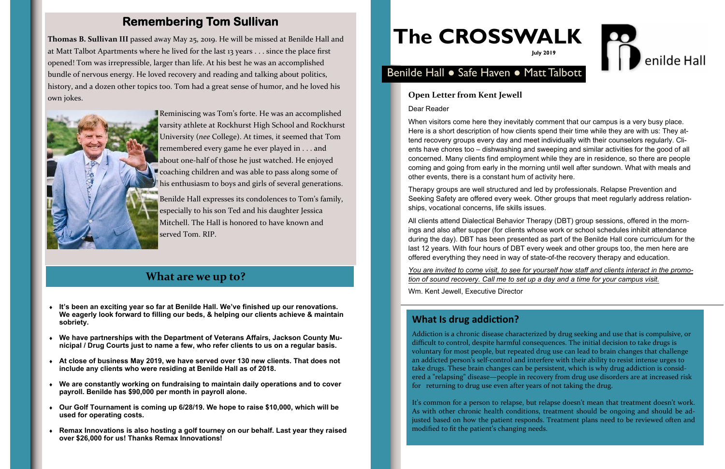# **The CROSSWALK**



## **Remembering Tom Sullivan**

Addiction is a chronic disease characterized by drug seeking and use that is compulsive, or di fficult to control, despite harmful consequences. The initial decision to take drugs is voluntary for most people, but repeated drug use can lead to brain changes that challenge an addicted person's self‐control and interfere with their ability to resist intense urges to take drugs. These brain changes can be persistent, which is why drug addiction is consid‐ ered a "relapsing" disease—people in recovery from drug use disorders are at increased risk for returning to drug use even after years of not taking the drug.

It's common for a person to relapse, but relapse doesn't mean that treatment doesn't work. As with other chronic health conditions, treatment should be ongoing and should be ad‐ justed based on how the patient responds. Treatment plans need to be reviewed often and modi fied to fit the patient's changing needs.

### **What are we up to?**

#### **Open Letter from Kent Jewell**

Dear Reader

When visitors come here they inevitably comment that our campus is a very busy place. Here is a short description of how clients spend their time while they are with us: They attend recovery groups every day and meet individually with their counselors regularly. Clients have chores too – dishwashing and sweeping and similar activities for the good of all concerned. Many clients find employment while they are in residence, so there are people coming and going from early in the morning until well after sundown. What with meals and other events, there is a constant hum of activity here.

Therapy groups are well structured and led by professionals. Relapse Prevention and Seeking Safety are offered every week. Other groups that meet regularly address relationships, vocational concerns, life skills issues.

All clients attend Dialectical Behavior Therapy (DBT) group sessions, offered in the mornings and also after supper (for clients whose work or school schedules inhibit attendance during the day). DBT has been presented as part of the Benilde Hall core curriculum for the last 12 years. With four hours of DBT every week and other groups too, the men here are offered everything they need in way of state-of-the recovery therapy and education.

*You are invited to come visit, to see for yourself how staff and clients interact in the promotion of sound recovery. Call me to set up a day and a time for your campus visit.*

Wm. Kent Jewell, Executive Director

#### **What Is drug addiction?**

**Thomas B. Sullivan III** passed away May 25, 2019. He will be missed at Benilde Hall and at Matt Talbot Apartments where he lived for the last 13 years . . . since the place first opened! Tom was irrepressible, larger than life. At his best he was an accomplished bundle of nervous energy. He loved recovery and reading and talking about politics, history, and a dozen other topics too. Tom had a grea<sup>t</sup> sense of humor, and he loved his own jokes.



Reminiscing was Tom's forte. He was an accomplished varsity athlete at Rockhurst High School and Rockhurst University (*nee* College). At times, it seemed that Tom remembered every game he ever played in . . . and about one‐half of those he just watched. He enjoyed coaching children and was able to pass along some of his enthusiasm to boys and girls of several generations. Benilde Hall expresses its condolences to Tom's family, especially to his son Ted and his daughter Jessica Mitchell. The Hall is honored to have known and served Tom. RIP.

#### Benilde Hall ● Safe Haven ● Matt Talbott

- **It's been an exciting year so far at Benilde Hall. We've finished up our renovations. We eagerly look forward to filling our beds, & helping our clients achieve & maintain sobriety.**
- **We have partnerships with the Department of Veterans Affairs, Jackson County Municipal / Drug Courts just to name a few, who refer clients to us on a regular basis.**
- **At close of business May 2019, we have served over 130 new clients. That does not include any clients who were residing at Benilde Hall as of 2018.**
- **We are constantly working on fundraising to maintain daily operations and to cover payroll. Benilde has \$90,000 per month in payroll alone.**
- **Our Golf Tournament is coming up 6/28/19. We hope to raise \$10,000, which will be used for operating costs.**
- ٠ **Remax Innovations is also hosting a golf tourney on our behalf. Last year they raised over \$26,000 for us! Thanks Remax Innovations!**